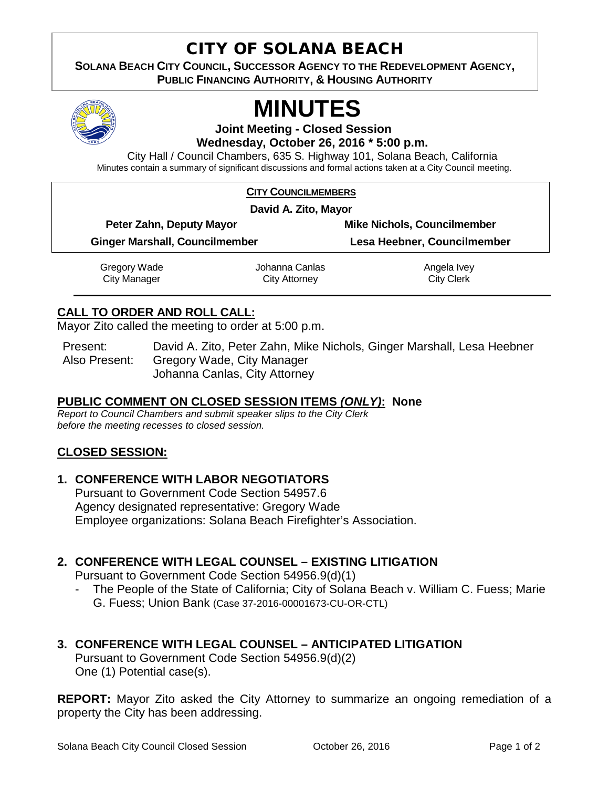## CITY OF SOLANA BEACH

**SOLANA BEACH CITY COUNCIL, SUCCESSOR AGENCY TO THE REDEVELOPMENT AGENCY, PUBLIC FINANCING AUTHORITY, & HOUSING AUTHORITY** 



# **MINUTES**

**Joint Meeting - Closed Session Wednesday, October 26, 2016 \* 5:00 p.m.**

City Hall / Council Chambers, 635 S. Highway 101, Solana Beach, California Minutes contain a summary of significant discussions and formal actions taken at a City Council meeting.

#### **CITY COUNCILMEMBERS**

| David A. Zito, Mayor                  |                |                                    |
|---------------------------------------|----------------|------------------------------------|
| Peter Zahn, Deputy Mayor              |                | <b>Mike Nichols, Councilmember</b> |
| <b>Ginger Marshall, Councilmember</b> |                | Lesa Heebner, Councilmember        |
| Gregory Wade                          | Johanna Canlas | Angela Ivey                        |

City Clerk

City Attorney

### **CALL TO ORDER AND ROLL CALL:**

City Manager

Mayor Zito called the meeting to order at 5:00 p.m.

Present: David A. Zito, Peter Zahn, Mike Nichols, Ginger Marshall, Lesa Heebner Also Present: Gregory Wade, City Manager Johanna Canlas, City Attorney

#### **PUBLIC COMMENT ON CLOSED SESSION ITEMS** *(ONLY)***: None**

*Report to Council Chambers and submit speaker slips to the City Clerk before the meeting recesses to closed session.*

#### **CLOSED SESSION:**

#### **1. CONFERENCE WITH LABOR NEGOTIATORS**

Pursuant to Government Code Section 54957.6 Agency designated representative: Gregory Wade Employee organizations: Solana Beach Firefighter's Association.

#### **2. CONFERENCE WITH LEGAL COUNSEL – EXISTING LITIGATION**

Pursuant to Government Code Section 54956.9(d)(1)

- The People of the State of California; City of Solana Beach v. William C. Fuess; Marie G. Fuess; Union Bank (Case 37-2016-00001673-CU-OR-CTL)

#### **3. CONFERENCE WITH LEGAL COUNSEL – ANTICIPATED LITIGATION**

Pursuant to Government Code Section 54956.9(d)(2) One (1) Potential case(s).

**REPORT:** Mayor Zito asked the City Attorney to summarize an ongoing remediation of a property the City has been addressing.